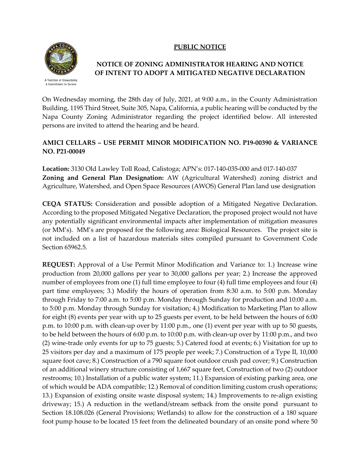## **PUBLIC NOTICE**



A Tradition of Stewardship A Commitment to Service

## **NOTICE OF ZONING ADMINISTRATOR HEARING AND NOTICE OF INTENT TO ADOPT A MITIGATED NEGATIVE DECLARATION**

On Wednesday morning, the 28th day of July, 2021, at 9:00 a.m., in the County Administration Building, 1195 Third Street, Suite 305, Napa, California, a public hearing will be conducted by the Napa County Zoning Administrator regarding the project identified below. All interested persons are invited to attend the hearing and be heard.

## **AMICI CELLARS – USE PERMIT MINOR MODIFICATION NO. P19-00390 & VARIANCE NO. P21-00049**

**Location:** 3130 Old Lawley Toll Road, Calistoga; APN's: 017-140-035-000 and 017-140-037 **Zoning and General Plan Designation:** AW (Agricultural Watershed) zoning district and Agriculture, Watershed, and Open Space Resources (AWOS) General Plan land use designation

**CEQA STATUS:** Consideration and possible adoption of a Mitigated Negative Declaration. According to the proposed Mitigated Negative Declaration, the proposed project would not have any potentially significant environmental impacts after implementation of mitigation measures (or MM's). MM's are proposed for the following area: Biological Resources. The project site is not included on a list of hazardous materials sites compiled pursuant to Government Code Section 65962.5.

**REQUEST:** Approval of a Use Permit Minor Modification and Variance to: 1.) Increase wine production from 20,000 gallons per year to 30,000 gallons per year; 2.) Increase the approved number of employees from one (1) full time employee to four (4) full time employees and four (4) part time employees; 3.) Modify the hours of operation from 8:30 a.m. to 5:00 p.m. Monday through Friday to 7:00 a.m. to 5:00 p.m. Monday through Sunday for production and 10:00 a.m. to 5:00 p.m. Monday through Sunday for visitation; 4.) Modification to Marketing Plan to allow for eight (8) events per year with up to 25 guests per event, to be held between the hours of 6:00 p.m. to 10:00 p.m. with clean-up over by 11:00 p.m., one (1) event per year with up to 50 guests, to be held between the hours of 6:00 p.m. to 10:00 p.m. with clean-up over by 11:00 p.m., and two (2) wine-trade only events for up to 75 guests; 5.) Catered food at events; 6.) Visitation for up to 25 visitors per day and a maximum of 175 people per week; 7.) Construction of a Type II, 10,000 square foot cave; 8.) Construction of a 790 square foot outdoor crush pad cover; 9.) Construction of an additional winery structure consisting of 1,667 square feet, Construction of two (2) outdoor restrooms; 10.) Installation of a public water system; 11.) Expansion of existing parking area, one of which would be ADA compatible; 12.) Removal of condition limiting custom crush operations; 13.) Expansion of existing onsite waste disposal system; 14.) Improvements to re-align existing driveway; 15.) A reduction in the wetland/stream setback from the onsite pond pursuant to Section 18.108.026 (General Provisions; Wetlands) to allow for the construction of a 180 square foot pump house to be located 15 feet from the delineated boundary of an onsite pond where 50